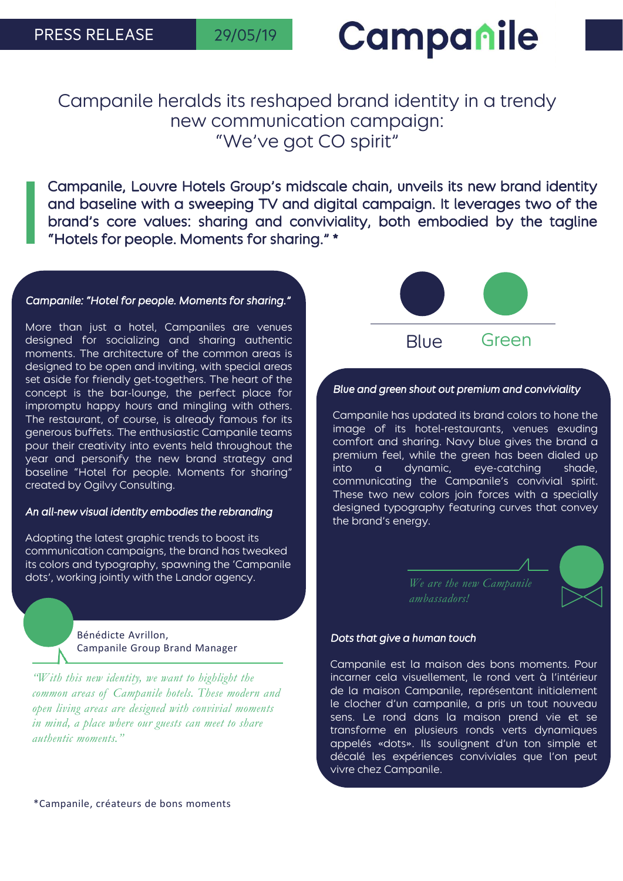# Campanile

### Campanile heralds its reshaped brand identity in a trendy new communication campaign: "We've got CO spirit"

Campanile, Louvre Hotels Group's midscale chain, unveils its new brand identity and baseline with a sweeping TV and digital campaign. It leverages two of the brand's core values: sharing and conviviality, both embodied by the tagline "Hotels for people. Moments for sharing." \*

#### *Campanile: "Hotel for people. Moments for sharing."*

More than just a hotel, Campaniles are venues designed for socializing and sharing authentic moments. The architecture of the common areas is designed to be open and inviting, with special areas set aside for friendly get-togethers. The heart of the concept is the bar-lounge, the perfect place for impromptu happy hours and mingling with others. The restaurant, of course, is already famous for its generous buffets. The enthusiastic Campanile teams pour their creativity into events held throughout the year and personify the new brand strategy and baseline "Hotel for people. Moments for sharing" created by Ogilvy Consulting.

#### *An all-new visual identity embodies the rebranding*

Adopting the latest graphic trends to boost its communication campaigns, the brand has tweaked its colors and typography, spawning the 'Campanile dots', working jointly with the Landor agency.

#### Bénédicte Avrillon, Campanile Group Brand Manager

*"With this new identity, we want to highlight the common areas of Campanile hotels. These modern and open living areas are designed with convivial moments in mind, a place where our guests can meet to share authentic moments."*





### *Blue and green shout out premium and conviviality*

Campanile has updated its brand colors to hone the image of its hotel-restaurants, venues exuding comfort and sharing. Navy blue gives the brand a premium feel, while the green has been dialed up into a dynamic, eye-catching shade, communicating the Campanile's convivial spirit. These two new colors join forces with a specially designed typography featuring curves that convey the brand's energy.

*ambassadors!*

#### *Dots that give a human touch*

Campanile est la maison des bons moments. Pour incarner cela visuellement, le rond vert à l'intérieur de la maison Campanile, représentant initialement le clocher d'un campanile, a pris un tout nouveau sens. Le rond dans la maison prend vie et se transforme en plusieurs ronds verts dynamiques appelés «dots». Ils soulignent d'un ton simple et décalé les expériences conviviales que l'on peut vivre chez Campanile.